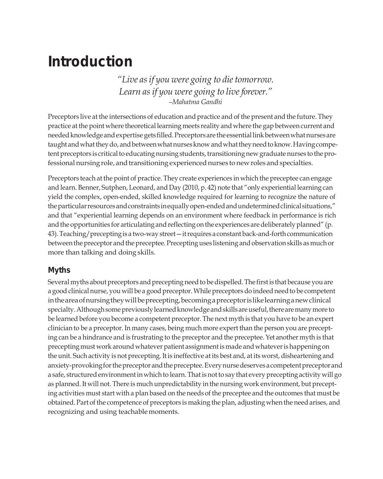# **Introduction**

*"Live asif you were going to dietomorrow. Learn asif you were going to liveforever." –Mahatma Gandhi*

Preceptors live at the intersections of education and practice and of the present and the future. They practice at the point where theoretical learning meets reality and where the gap between current and needed knowledge and expertise gets filled. Preceptors are the essential link between what nurses are taught and what they do, and between what nurses know and what they need to know. Having competent preceptors is critical to educating nursing students, transitioning new graduate nurses to the professional nursing role, and transitioning experienced nurses to new roles and specialties.

Preceptors teach at the point of practice. They create experiences in which the preceptee can engage and learn. Benner, Sutphen, Leonard, and Day (2010, p. 42) note that "only experiential learning can yield the complex, open-ended, skilled knowledge required for learning to recognize the nature of the particular resources and constraints in equally open-ended and undetermined clinical situations," and that "experiential learning depends on an environment where feedback in performance is rich and the opportunities for articulating and reflecting on the experiences are deliberately planned" (p. 43). Teaching/precepting is a two-way street—it requires a constant back-and-forth communication between the preceptor and the preceptee. Precepting uses listening and observation skills as much or more than talking and doing skills.

### **Myths**

Several myths about preceptors and precepting need to be dispelled. The firstis that because you are a good clinical nurse, you will be a good preceptor. While preceptors do indeed needto be competent in the area of nursing they will be precepting, becoming a preceptor is like learning a new clinical specialty. Although some previously learned knowledge and skills are useful, there are many more to be learned before you become a competent preceptor. The next myth is that you have to be an expert clinician to be a preceptor. In many cases, being much more expert than the person you are precepting can be a hindrance and is frustrating to the preceptor and the preceptee. Yet another myth is that precepting must work around whatever patient assignmentis made and whateveris happening on the unit. Such activity is not precepting. Itis ineffective at its best and, at its worst, disheartening and anxiety-provoking for the preceptor and the preceptee. Every nurse deserves a competent preceptor and a safe, structured environmentin which to learn. Thatis notto say that every precepting activity will go as planned. It will not. There is much unpredictability in the nursing work environment, but precepting activities must start with a plan based on the needs of the preceptee and the outcomes that must be obtained. Part of the competence of preceptors is making the plan, adjusting when the need arises, and recognizing and using teachable moments.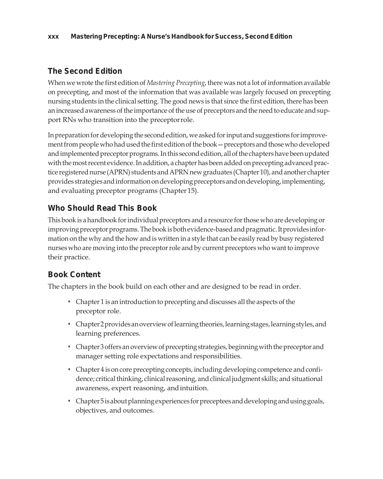## **The Second Edition**

When we wrote the first edition of *Mastering Precepting*, there was not a lotof information available on precepting, and most of the information that was available was largely focused on precepting nursing students in the clinical setting. The good news is that since the first edition, there has been an increased awareness of the importance of the use of preceptors and the need to educate and sup port RNs who transition into the preceptorrole.

In preparation for developing the second edition, we asked for input and suggestions for improvement from people who had used the first edition of the book — preceptors and those who developed and implemented preceptor programs. In this second edition, all of the chapters have been updated with the most recent evidence. In addition, a chapter has been added on precepting advanced practice registered nurse (APRN) students and APRN new graduates (Chapter 10), and another chapter provides strategies and information on developing preceptors and on developing, implementing, and evaluating preceptor programs (Chapter15).

### **Who Should Read This Book**

This book is a handbook for individual preceptors and a resource for those who are developing or improving preceptor programs. The book is both evidence-based and pragmatic. It provides information on the why and the how and is written in a style that can be easily read by busy registered nurses who are moving into the preceptorrole and by current preceptors who want to improve their practice.

### **Book Content**

The chapters in the book build on each other and are designed to be read in order.

- Chapter 1 is an introduction to precepting and discusses all the aspects of the preceptor role.
- Chapter2providesanoverviewoflearningtheories,learningstages,learningstyles, and learning preferences.
- Chapter 3 offers an overview of precepting strategies, beginning with the preceptor and manager setting role expectations and responsibilities.
- Chapter 4 is on core precepting concepts, including developing competence and confi dence; critical thinking, clinical reasoning, and clinical judgment skills; and situational awareness, expert reasoning, andintuition.
- Chapter 5 is about planning experiences for preceptees and developing and using goals, objectives, and outcomes.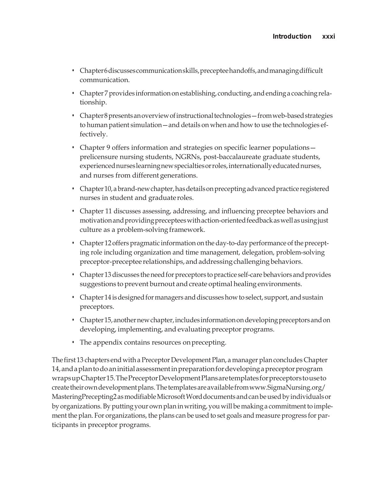- Chapter6discusses communicationskills, preceptee handoffs, and managing difficult communication.
- Chapter 7 provides information on establishing, conducting, and ending a coaching relationship.
- Chapter8presentsanoverviewofinstructionaltechnologies—fromweb-basedstrategies to human patient simulation—and details on when and how to use the technologies effectively.
- Chapter 9 offers information and strategies on specific learner populations prelicensure nursing students, NGRNs, post-baccalaureate graduate students, experienced nurses learning new specialties or roles, internationally educated nurses, and nurses from different generations.
- Chapter 10, a brand-new chapter, has details on precepting advanced practice registered nurses in student and graduate roles.
- Chapter 11 discusses assessing, addressing, and influencing preceptee behaviors and motivation and providing preceptees with action-oriented feedback as well as using just culture as a problem-solving framework.
- Chapter 12 offers pragmatic information on the day-to-day performance of the precepting role including organization and time management, delegation, problem-solving preceptor-preceptee relationships, and addressing challenging behaviors.
- Chapter 13 discusses the need for preceptors to practice self-care behaviors and provides suggestions to prevent burnout and create optimal healing environments.
- Chapter 14 is designed for managers and discusses how to select, support, and sustain preceptors.
- Chapter 15, another new chapter, includes information on developing preceptors and on developing, implementing, and evaluating preceptor programs.
- The appendix contains resources onprecepting.

The first 13 chapters end with a Preceptor Development Plan, a manager plan concludes Chapter 14,andaplantodoaninitialassessmentinpreparationfordevelopingapreceptorprogram wrapsupChapter15.ThePreceptorDevelopmentPlansaretemplatesforpreceptorstouseto createtheirowndevelopmentplans.Thetemplatesareavailablefromwww.SigmaNursing.org/ MasteringPrecepting2 as modifiable Microsoft Word documents and can be used by individuals or by organizations. By putting your own plan in writing, you will be making a commitment to implement the plan. For organizations, the plans can be used to set goals and measure progress for participants in preceptor programs.